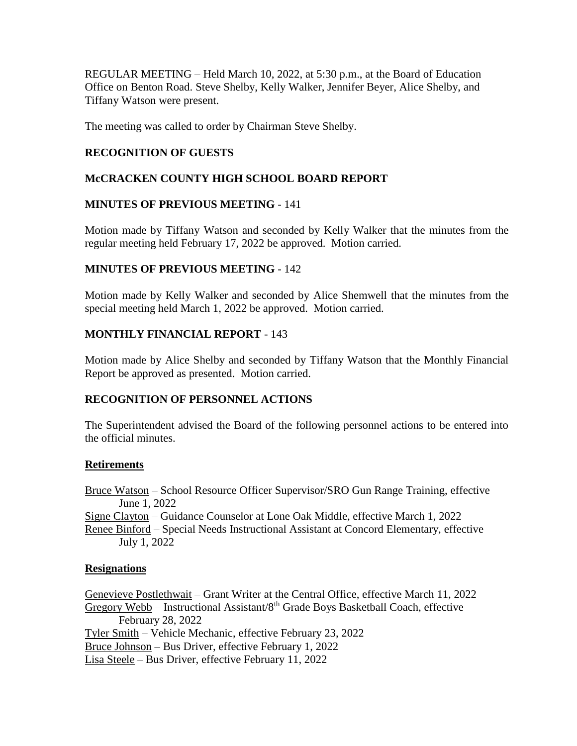REGULAR MEETING – Held March 10, 2022, at 5:30 p.m., at the Board of Education Office on Benton Road. Steve Shelby, Kelly Walker, Jennifer Beyer, Alice Shelby, and Tiffany Watson were present.

The meeting was called to order by Chairman Steve Shelby.

# **RECOGNITION OF GUESTS**

# **McCRACKEN COUNTY HIGH SCHOOL BOARD REPORT**

## **MINUTES OF PREVIOUS MEETING** - 141

Motion made by Tiffany Watson and seconded by Kelly Walker that the minutes from the regular meeting held February 17, 2022 be approved. Motion carried.

## **MINUTES OF PREVIOUS MEETING** - 142

Motion made by Kelly Walker and seconded by Alice Shemwell that the minutes from the special meeting held March 1, 2022 be approved. Motion carried.

# **MONTHLY FINANCIAL REPORT** - 143

Motion made by Alice Shelby and seconded by Tiffany Watson that the Monthly Financial Report be approved as presented. Motion carried.

# **RECOGNITION OF PERSONNEL ACTIONS**

The Superintendent advised the Board of the following personnel actions to be entered into the official minutes.

# **Retirements**

Bruce Watson – School Resource Officer Supervisor/SRO Gun Range Training, effective June 1, 2022

Signe Clayton – Guidance Counselor at Lone Oak Middle, effective March 1, 2022 Renee Binford – Special Needs Instructional Assistant at Concord Elementary, effective

July 1, 2022

# **Resignations**

Genevieve Postlethwait – Grant Writer at the Central Office, effective March 11, 2022 Gregory Webb – Instructional Assistant/ $8<sup>th</sup>$  Grade Boys Basketball Coach, effective February 28, 2022 Tyler Smith – Vehicle Mechanic, effective February 23, 2022 Bruce Johnson – Bus Driver, effective February 1, 2022 Lisa Steele – Bus Driver, effective February 11, 2022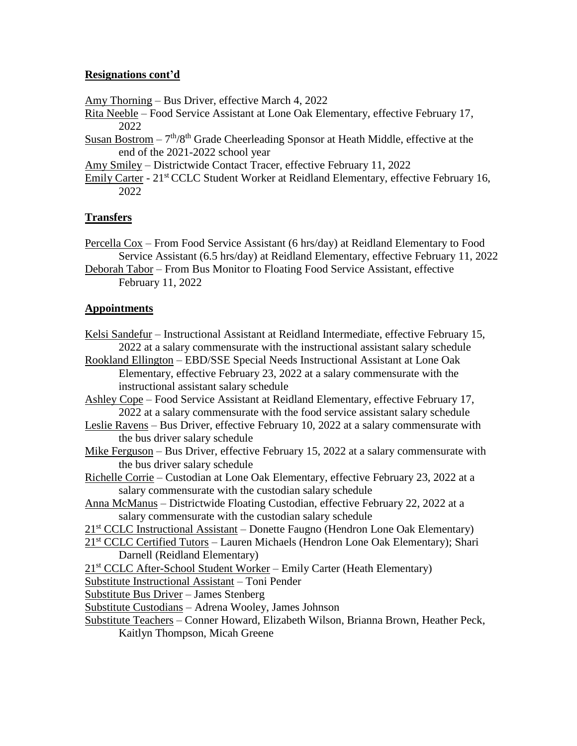## **Resignations cont'd**

Amy Thorning – Bus Driver, effective March 4, 2022

- Rita Neeble Food Service Assistant at Lone Oak Elementary, effective February 17, 2022
- Susan Bostrom  $-7<sup>th</sup>/8<sup>th</sup>$  Grade Cheerleading Sponsor at Heath Middle, effective at the end of the 2021-2022 school year
- Amy Smiley Districtwide Contact Tracer, effective February 11, 2022
- Emily Carter 21<sup>st</sup> CCLC Student Worker at Reidland Elementary, effective February 16, 2022

# **Transfers**

- Percella Cox From Food Service Assistant (6 hrs/day) at Reidland Elementary to Food Service Assistant (6.5 hrs/day) at Reidland Elementary, effective February 11, 2022
- Deborah Tabor From Bus Monitor to Floating Food Service Assistant, effective February 11, 2022

## **Appointments**

- Kelsi Sandefur Instructional Assistant at Reidland Intermediate, effective February 15, 2022 at a salary commensurate with the instructional assistant salary schedule
- Rookland Ellington EBD/SSE Special Needs Instructional Assistant at Lone Oak Elementary, effective February 23, 2022 at a salary commensurate with the instructional assistant salary schedule
- Ashley Cope Food Service Assistant at Reidland Elementary, effective February 17, 2022 at a salary commensurate with the food service assistant salary schedule
- Leslie Ravens Bus Driver, effective February 10, 2022 at a salary commensurate with the bus driver salary schedule
- Mike Ferguson Bus Driver, effective February 15, 2022 at a salary commensurate with the bus driver salary schedule
- Richelle Corrie Custodian at Lone Oak Elementary, effective February 23, 2022 at a salary commensurate with the custodian salary schedule
- Anna McManus Districtwide Floating Custodian, effective February 22, 2022 at a salary commensurate with the custodian salary schedule
- 21<sup>st</sup> CCLC Instructional Assistant Donette Faugno (Hendron Lone Oak Elementary)
- 21<sup>st</sup> CCLC Certified Tutors Lauren Michaels (Hendron Lone Oak Elementary); Shari Darnell (Reidland Elementary)
- 21<sup>st</sup> CCLC After-School Student Worker Emily Carter (Heath Elementary)

Substitute Instructional Assistant – Toni Pender

Substitute Bus Driver – James Stenberg

- Substitute Custodians Adrena Wooley, James Johnson
- Substitute Teachers Conner Howard, Elizabeth Wilson, Brianna Brown, Heather Peck, Kaitlyn Thompson, Micah Greene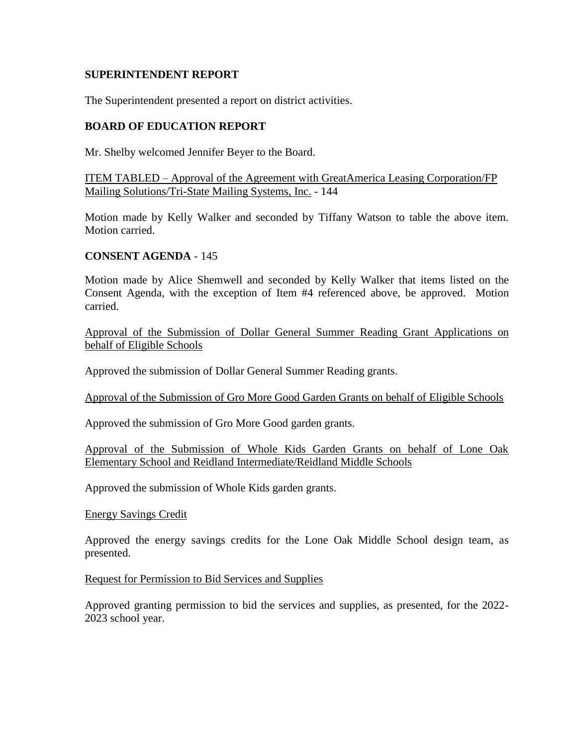#### **SUPERINTENDENT REPORT**

The Superintendent presented a report on district activities.

#### **BOARD OF EDUCATION REPORT**

Mr. Shelby welcomed Jennifer Beyer to the Board.

ITEM TABLED – Approval of the Agreement with GreatAmerica Leasing Corporation/FP Mailing Solutions/Tri-State Mailing Systems, Inc. - 144

Motion made by Kelly Walker and seconded by Tiffany Watson to table the above item. Motion carried.

#### **CONSENT AGENDA** - 145

Motion made by Alice Shemwell and seconded by Kelly Walker that items listed on the Consent Agenda, with the exception of Item #4 referenced above, be approved. Motion carried.

Approval of the Submission of Dollar General Summer Reading Grant Applications on behalf of Eligible Schools

Approved the submission of Dollar General Summer Reading grants.

Approval of the Submission of Gro More Good Garden Grants on behalf of Eligible Schools

Approved the submission of Gro More Good garden grants.

Approval of the Submission of Whole Kids Garden Grants on behalf of Lone Oak Elementary School and Reidland Intermediate/Reidland Middle Schools

Approved the submission of Whole Kids garden grants.

Energy Savings Credit

Approved the energy savings credits for the Lone Oak Middle School design team, as presented.

#### Request for Permission to Bid Services and Supplies

Approved granting permission to bid the services and supplies, as presented, for the 2022- 2023 school year.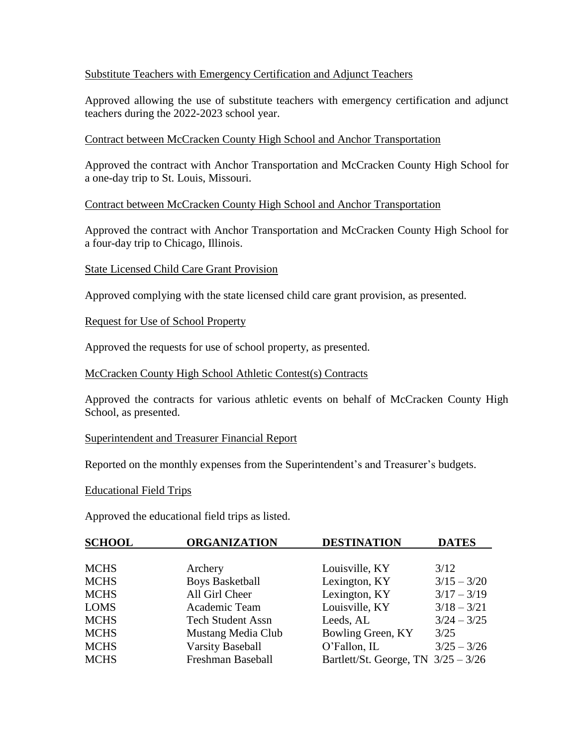### Substitute Teachers with Emergency Certification and Adjunct Teachers

Approved allowing the use of substitute teachers with emergency certification and adjunct teachers during the 2022-2023 school year.

### Contract between McCracken County High School and Anchor Transportation

Approved the contract with Anchor Transportation and McCracken County High School for a one-day trip to St. Louis, Missouri.

#### Contract between McCracken County High School and Anchor Transportation

Approved the contract with Anchor Transportation and McCracken County High School for a four-day trip to Chicago, Illinois.

## State Licensed Child Care Grant Provision

Approved complying with the state licensed child care grant provision, as presented.

## Request for Use of School Property

Approved the requests for use of school property, as presented.

#### McCracken County High School Athletic Contest(s) Contracts

Approved the contracts for various athletic events on behalf of McCracken County High School, as presented.

#### Superintendent and Treasurer Financial Report

Reported on the monthly expenses from the Superintendent's and Treasurer's budgets.

#### Educational Field Trips

Approved the educational field trips as listed.

| <b>SCHOOL</b> | <b>ORGANIZATION</b>      | <b>DESTINATION</b>                    | <b>DATES</b>  |
|---------------|--------------------------|---------------------------------------|---------------|
|               |                          |                                       |               |
| <b>MCHS</b>   | Archery                  | Louisville, KY                        | 3/12          |
| <b>MCHS</b>   | <b>Boys Basketball</b>   | Lexington, KY                         | $3/15 - 3/20$ |
| <b>MCHS</b>   | All Girl Cheer           | Lexington, KY                         | $3/17 - 3/19$ |
| <b>LOMS</b>   | Academic Team            | Louisville, KY                        | $3/18 - 3/21$ |
| <b>MCHS</b>   | <b>Tech Student Assn</b> | Leeds, AL                             | $3/24 - 3/25$ |
| <b>MCHS</b>   | Mustang Media Club       | Bowling Green, KY                     | 3/25          |
| <b>MCHS</b>   | <b>Varsity Baseball</b>  | O'Fallon, IL                          | $3/25 - 3/26$ |
| <b>MCHS</b>   | Freshman Baseball        | Bartlett/St. George, TN $3/25 - 3/26$ |               |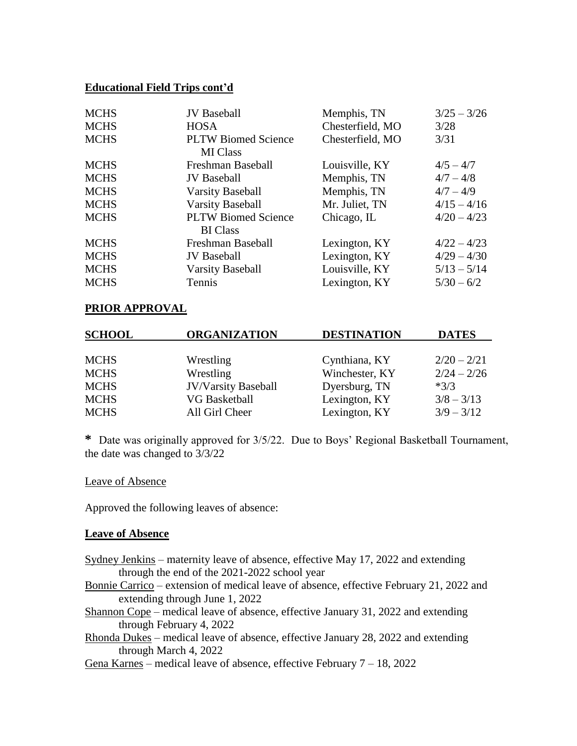### **Educational Field Trips cont'd**

| <b>MCHS</b> | <b>JV</b> Baseball         | Memphis, TN      | $3/25 - 3/26$ |
|-------------|----------------------------|------------------|---------------|
| <b>MCHS</b> | <b>HOSA</b>                | Chesterfield, MO | 3/28          |
| <b>MCHS</b> | <b>PLTW Biomed Science</b> | Chesterfield, MO | 3/31          |
|             | <b>MI</b> Class            |                  |               |
| <b>MCHS</b> | Freshman Baseball          | Louisville, KY   | $4/5 - 4/7$   |
| <b>MCHS</b> | <b>JV</b> Baseball         | Memphis, TN      | $4/7 - 4/8$   |
| <b>MCHS</b> | <b>Varsity Baseball</b>    | Memphis, TN      | $4/7 - 4/9$   |
| <b>MCHS</b> | <b>Varsity Baseball</b>    | Mr. Juliet, TN   | $4/15 - 4/16$ |
| <b>MCHS</b> | <b>PLTW Biomed Science</b> | Chicago, IL      | $4/20 - 4/23$ |
|             | <b>BI</b> Class            |                  |               |
| <b>MCHS</b> | Freshman Baseball          | Lexington, KY    | $4/22 - 4/23$ |
| <b>MCHS</b> | <b>JV</b> Baseball         | Lexington, KY    | $4/29 - 4/30$ |
| <b>MCHS</b> | <b>Varsity Baseball</b>    | Louisville, KY   | $5/13 - 5/14$ |
| <b>MCHS</b> | Tennis                     | Lexington, KY    | $5/30 - 6/2$  |

## **PRIOR APPROVAL**

| <b>SCHOOL</b> | <b>ORGANIZATION</b>        | <b>DESTINATION</b> | <b>DATES</b>  |
|---------------|----------------------------|--------------------|---------------|
|               |                            |                    |               |
| <b>MCHS</b>   | Wrestling                  | Cynthiana, KY      | $2/20 - 2/21$ |
| <b>MCHS</b>   | Wrestling                  | Winchester, KY     | $2/24 - 2/26$ |
| <b>MCHS</b>   | <b>JV/Varsity Baseball</b> | Dyersburg, TN      | $*3/3$        |
| <b>MCHS</b>   | <b>VG Basketball</b>       | Lexington, KY      | $3/8 - 3/13$  |
| <b>MCHS</b>   | All Girl Cheer             | Lexington, KY      | $3/9 - 3/12$  |

**\*** Date was originally approved for 3/5/22. Due to Boys' Regional Basketball Tournament, the date was changed to 3/3/22

#### Leave of Absence

Approved the following leaves of absence:

#### **Leave of Absence**

- Sydney Jenkins maternity leave of absence, effective May 17, 2022 and extending through the end of the 2021-2022 school year
- Bonnie Carrico extension of medical leave of absence, effective February 21, 2022 and extending through June 1, 2022
- Shannon Cope medical leave of absence, effective January 31, 2022 and extending through February 4, 2022
- Rhonda Dukes medical leave of absence, effective January 28, 2022 and extending through March 4, 2022
- Gena Karnes medical leave of absence, effective February 7 18, 2022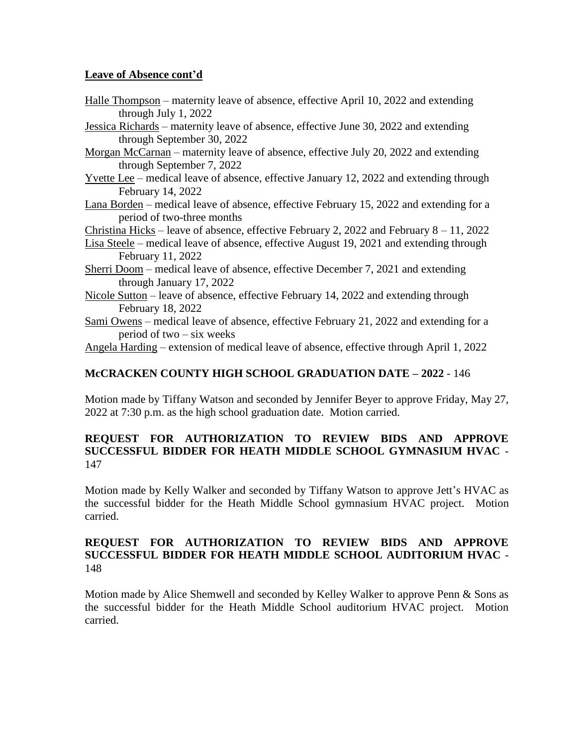## **Leave of Absence cont'd**

- Halle Thompson maternity leave of absence, effective April 10, 2022 and extending through July 1, 2022
- Jessica Richards maternity leave of absence, effective June 30, 2022 and extending through September 30, 2022
- Morgan McCarnan maternity leave of absence, effective July 20, 2022 and extending through September 7, 2022
- Yvette Lee medical leave of absence, effective January 12, 2022 and extending through February 14, 2022
- Lana Borden medical leave of absence, effective February 15, 2022 and extending for a period of two-three months
- Christina Hicks leave of absence, effective February 2, 2022 and February  $8 11$ , 2022
- Lisa Steele medical leave of absence, effective August 19, 2021 and extending through February 11, 2022
- Sherri Doom medical leave of absence, effective December 7, 2021 and extending through January 17, 2022
- Nicole Sutton leave of absence, effective February 14, 2022 and extending through February 18, 2022
- Sami Owens medical leave of absence, effective February 21, 2022 and extending for a period of two – six weeks

Angela Harding – extension of medical leave of absence, effective through April 1, 2022

# **McCRACKEN COUNTY HIGH SCHOOL GRADUATION DATE – 2022** - 146

Motion made by Tiffany Watson and seconded by Jennifer Beyer to approve Friday, May 27, 2022 at 7:30 p.m. as the high school graduation date. Motion carried.

## **REQUEST FOR AUTHORIZATION TO REVIEW BIDS AND APPROVE SUCCESSFUL BIDDER FOR HEATH MIDDLE SCHOOL GYMNASIUM HVAC** - 147

Motion made by Kelly Walker and seconded by Tiffany Watson to approve Jett's HVAC as the successful bidder for the Heath Middle School gymnasium HVAC project. Motion carried.

### **REQUEST FOR AUTHORIZATION TO REVIEW BIDS AND APPROVE SUCCESSFUL BIDDER FOR HEATH MIDDLE SCHOOL AUDITORIUM HVAC** - 148

Motion made by Alice Shemwell and seconded by Kelley Walker to approve Penn & Sons as the successful bidder for the Heath Middle School auditorium HVAC project. Motion carried.